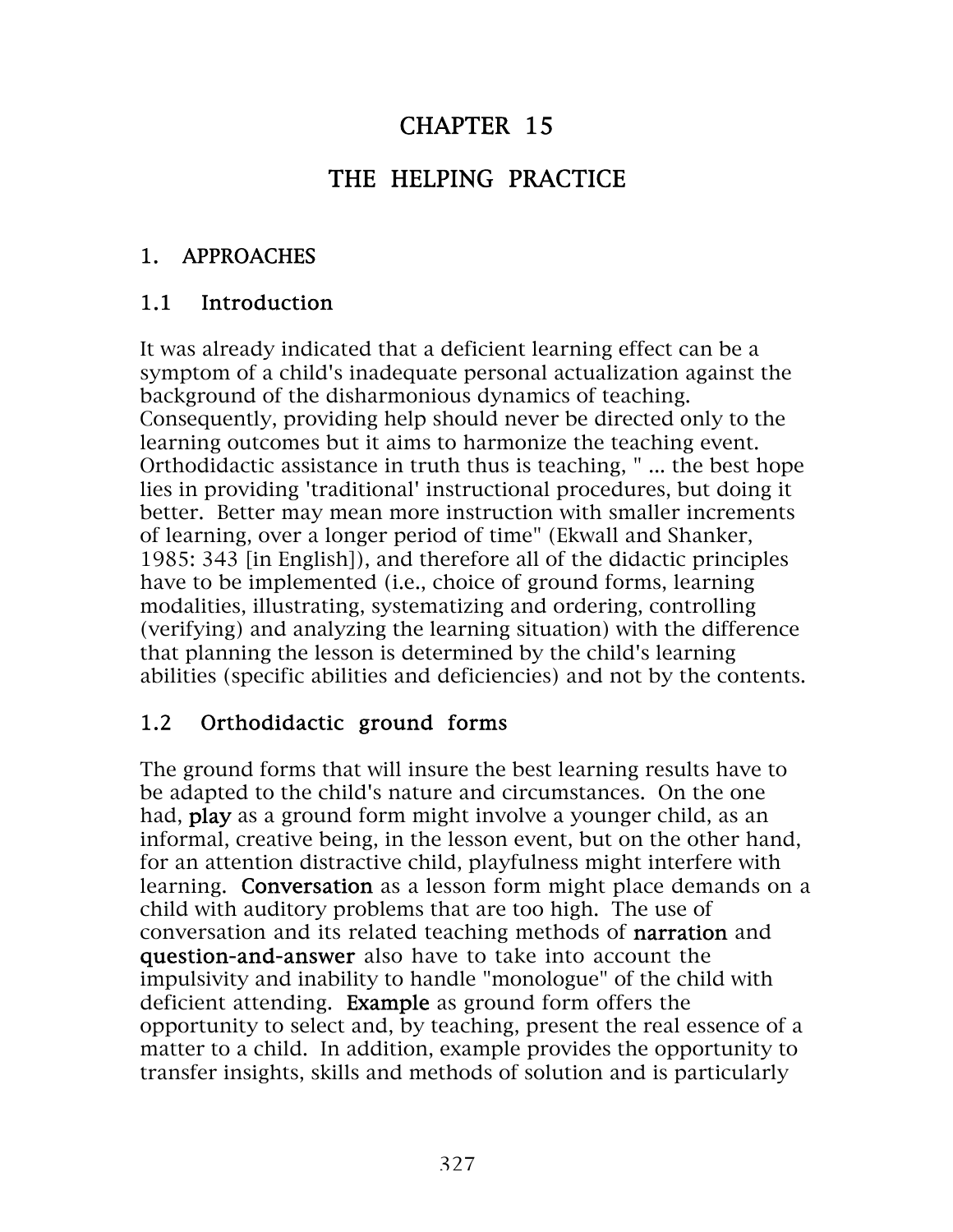# CHAPTER 15

# THE HELPING PRACTICE

### 1. APPROACHES

#### 1.1 Introduction

It was already indicated that a deficient learning effect can be a symptom of a child's inadequate personal actualization against the background of the disharmonious dynamics of teaching. Consequently, providing help should never be directed only to the learning outcomes but it aims to harmonize the teaching event. Orthodidactic assistance in truth thus is teaching, " ... the best hope lies in providing 'traditional' instructional procedures, but doing it better. Better may mean more instruction with smaller increments of learning, over a longer period of time" (Ekwall and Shanker, 1985: 343 [in English]), and therefore all of the didactic principles have to be implemented (i.e., choice of ground forms, learning modalities, illustrating, systematizing and ordering, controlling (verifying) and analyzing the learning situation) with the difference that planning the lesson is determined by the child's learning abilities (specific abilities and deficiencies) and not by the contents.

#### 1.2 Orthodidactic ground forms

The ground forms that will insure the best learning results have to be adapted to the child's nature and circumstances. On the one had, play as a ground form might involve a younger child, as an informal, creative being, in the lesson event, but on the other hand, for an attention distractive child, playfulness might interfere with learning. Conversation as a lesson form might place demands on a child with auditory problems that are too high. The use of conversation and its related teaching methods of narration and question-and-answer also have to take into account the impulsivity and inability to handle "monologue" of the child with deficient attending. Example as ground form offers the opportunity to select and, by teaching, present the real essence of a matter to a child. In addition, example provides the opportunity to transfer insights, skills and methods of solution and is particularly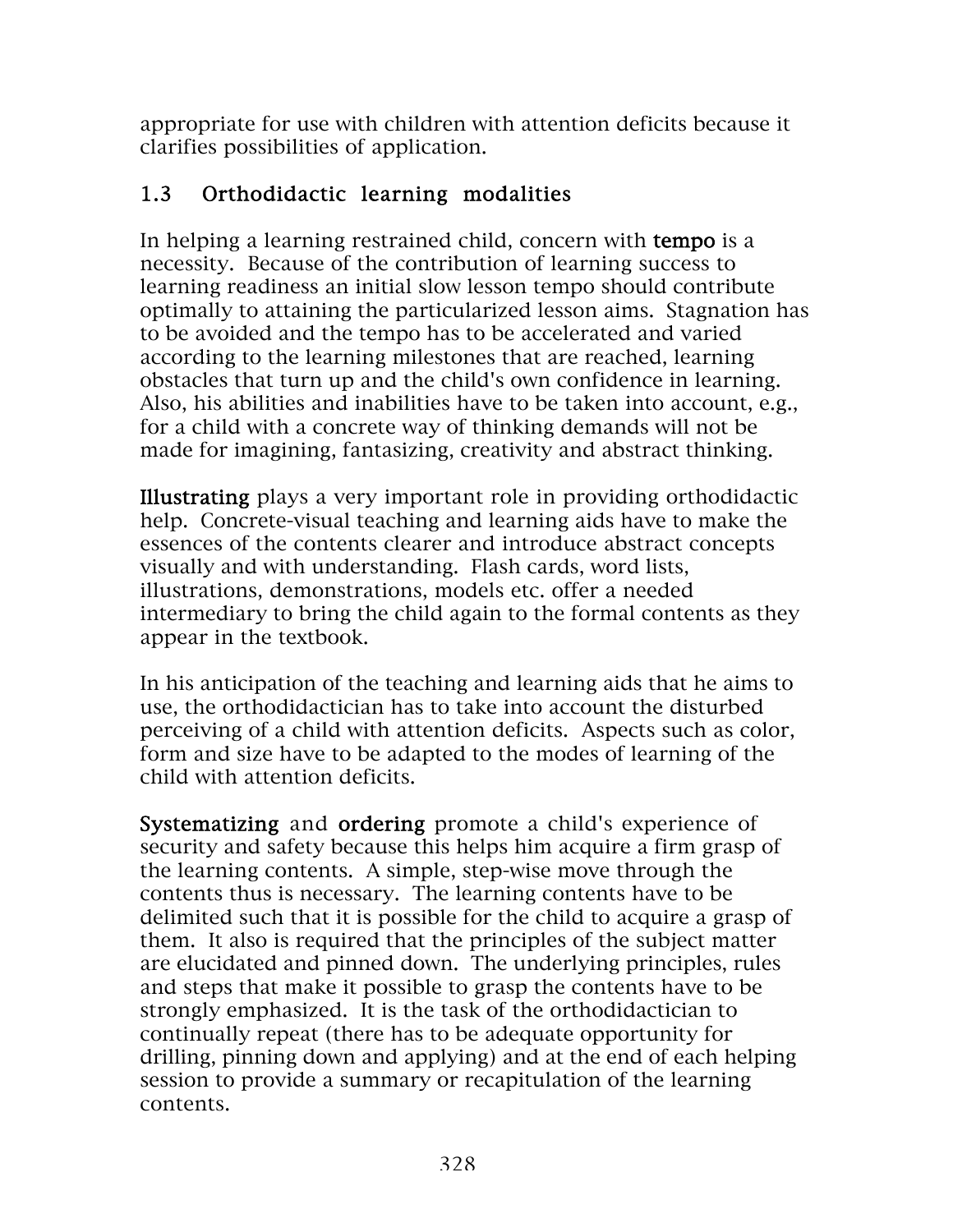appropriate for use with children with attention deficits because it clarifies possibilities of application.

## 1.3 Orthodidactic learning modalities

In helping a learning restrained child, concern with **tempo** is a necessity. Because of the contribution of learning success to learning readiness an initial slow lesson tempo should contribute optimally to attaining the particularized lesson aims. Stagnation has to be avoided and the tempo has to be accelerated and varied according to the learning milestones that are reached, learning obstacles that turn up and the child's own confidence in learning. Also, his abilities and inabilities have to be taken into account, e.g., for a child with a concrete way of thinking demands will not be made for imagining, fantasizing, creativity and abstract thinking.

Illustrating plays a very important role in providing orthodidactic help. Concrete-visual teaching and learning aids have to make the essences of the contents clearer and introduce abstract concepts visually and with understanding. Flash cards, word lists, illustrations, demonstrations, models etc. offer a needed intermediary to bring the child again to the formal contents as they appear in the textbook.

In his anticipation of the teaching and learning aids that he aims to use, the orthodidactician has to take into account the disturbed perceiving of a child with attention deficits. Aspects such as color, form and size have to be adapted to the modes of learning of the child with attention deficits.

Systematizing and ordering promote a child's experience of security and safety because this helps him acquire a firm grasp of the learning contents. A simple, step-wise move through the contents thus is necessary. The learning contents have to be delimited such that it is possible for the child to acquire a grasp of them. It also is required that the principles of the subject matter are elucidated and pinned down. The underlying principles, rules and steps that make it possible to grasp the contents have to be strongly emphasized. It is the task of the orthodidactician to continually repeat (there has to be adequate opportunity for drilling, pinning down and applying) and at the end of each helping session to provide a summary or recapitulation of the learning contents.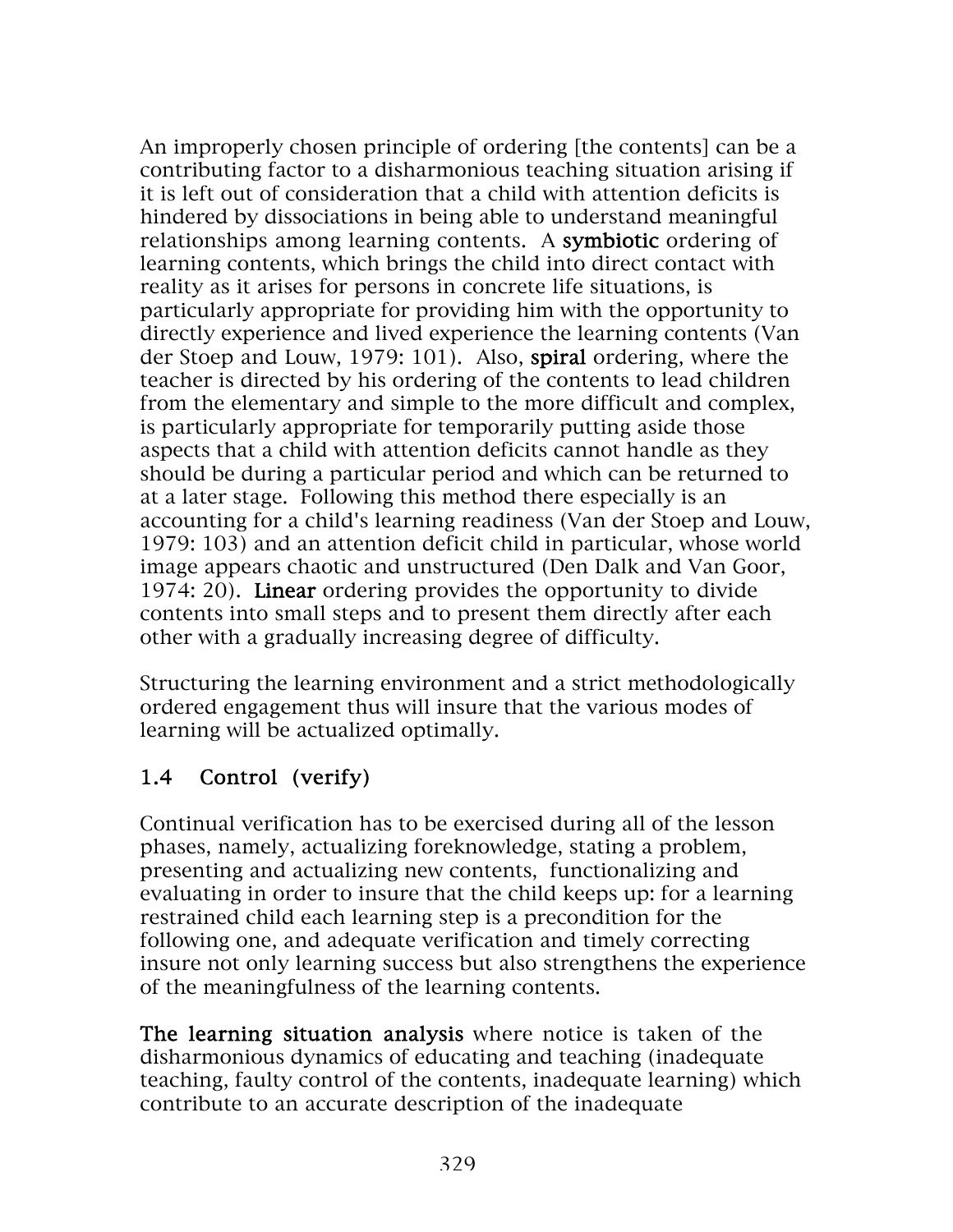An improperly chosen principle of ordering [the contents] can be a contributing factor to a disharmonious teaching situation arising if it is left out of consideration that a child with attention deficits is hindered by dissociations in being able to understand meaningful relationships among learning contents. A symbiotic ordering of learning contents, which brings the child into direct contact with reality as it arises for persons in concrete life situations, is particularly appropriate for providing him with the opportunity to directly experience and lived experience the learning contents (Van der Stoep and Louw, 1979: 101). Also, spiral ordering, where the teacher is directed by his ordering of the contents to lead children from the elementary and simple to the more difficult and complex, is particularly appropriate for temporarily putting aside those aspects that a child with attention deficits cannot handle as they should be during a particular period and which can be returned to at a later stage. Following this method there especially is an accounting for a child's learning readiness (Van der Stoep and Louw, 1979: 103) and an attention deficit child in particular, whose world image appears chaotic and unstructured (Den Dalk and Van Goor, 1974: 20). Linear ordering provides the opportunity to divide contents into small steps and to present them directly after each other with a gradually increasing degree of difficulty.

Structuring the learning environment and a strict methodologically ordered engagement thus will insure that the various modes of learning will be actualized optimally.

# 1.4 Control (verify)

Continual verification has to be exercised during all of the lesson phases, namely, actualizing foreknowledge, stating a problem, presenting and actualizing new contents, functionalizing and evaluating in order to insure that the child keeps up: for a learning restrained child each learning step is a precondition for the following one, and adequate verification and timely correcting insure not only learning success but also strengthens the experience of the meaningfulness of the learning contents.

The learning situation analysis where notice is taken of the disharmonious dynamics of educating and teaching (inadequate teaching, faulty control of the contents, inadequate learning) which contribute to an accurate description of the inadequate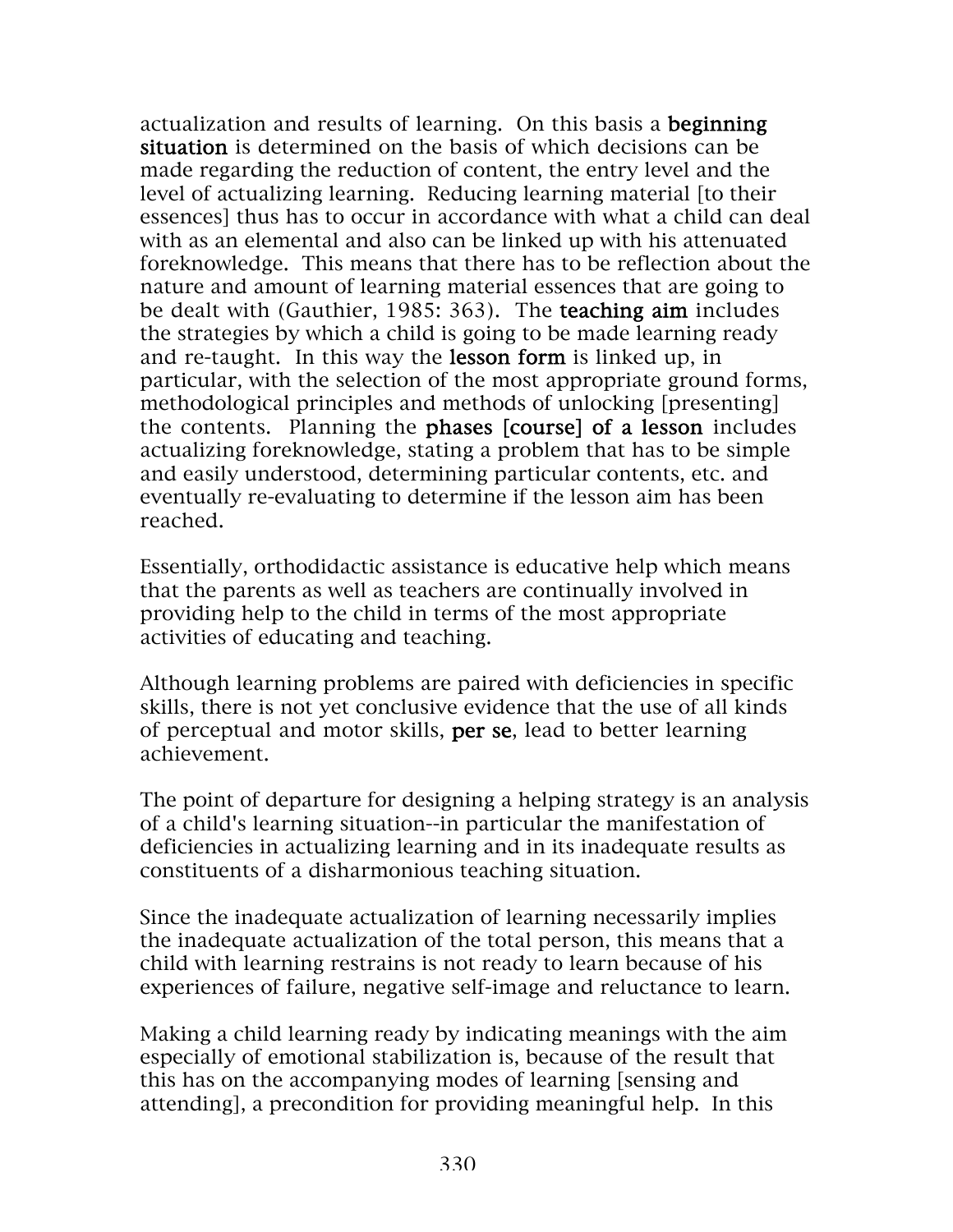actualization and results of learning. On this basis a beginning situation is determined on the basis of which decisions can be made regarding the reduction of content, the entry level and the level of actualizing learning. Reducing learning material [to their essences] thus has to occur in accordance with what a child can deal with as an elemental and also can be linked up with his attenuated foreknowledge. This means that there has to be reflection about the nature and amount of learning material essences that are going to be dealt with (Gauthier, 1985: 363). The teaching aim includes the strategies by which a child is going to be made learning ready and re-taught. In this way the lesson form is linked up, in particular, with the selection of the most appropriate ground forms, methodological principles and methods of unlocking [presenting] the contents. Planning the phases [course] of a lesson includes actualizing foreknowledge, stating a problem that has to be simple and easily understood, determining particular contents, etc. and eventually re-evaluating to determine if the lesson aim has been reached.

Essentially, orthodidactic assistance is educative help which means that the parents as well as teachers are continually involved in providing help to the child in terms of the most appropriate activities of educating and teaching.

Although learning problems are paired with deficiencies in specific skills, there is not yet conclusive evidence that the use of all kinds of perceptual and motor skills, per se, lead to better learning achievement.

The point of departure for designing a helping strategy is an analysis of a child's learning situation--in particular the manifestation of deficiencies in actualizing learning and in its inadequate results as constituents of a disharmonious teaching situation.

Since the inadequate actualization of learning necessarily implies the inadequate actualization of the total person, this means that a child with learning restrains is not ready to learn because of his experiences of failure, negative self-image and reluctance to learn.

Making a child learning ready by indicating meanings with the aim especially of emotional stabilization is, because of the result that this has on the accompanying modes of learning [sensing and attending], a precondition for providing meaningful help. In this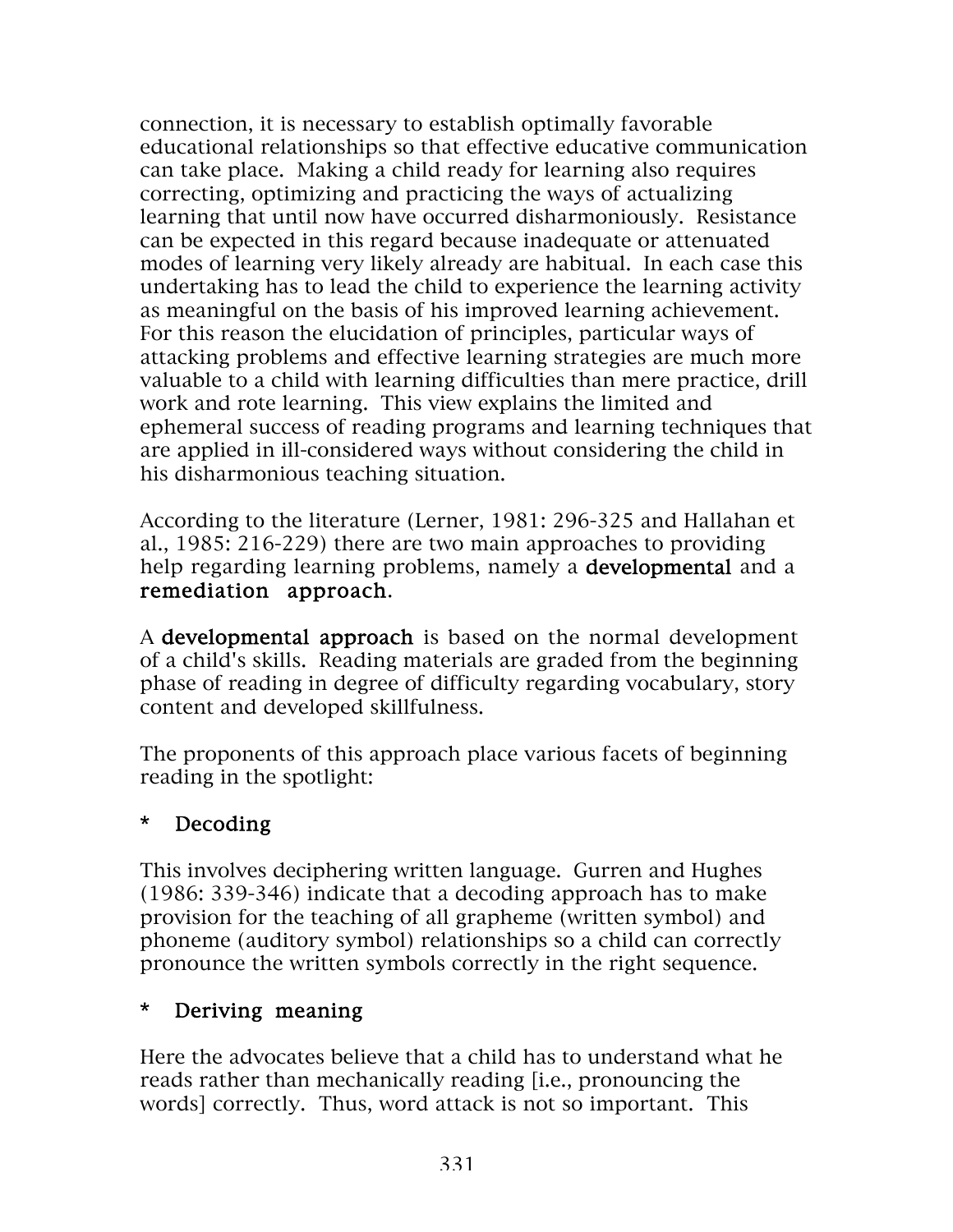connection, it is necessary to establish optimally favorable educational relationships so that effective educative communication can take place. Making a child ready for learning also requires correcting, optimizing and practicing the ways of actualizing learning that until now have occurred disharmoniously. Resistance can be expected in this regard because inadequate or attenuated modes of learning very likely already are habitual. In each case this undertaking has to lead the child to experience the learning activity as meaningful on the basis of his improved learning achievement. For this reason the elucidation of principles, particular ways of attacking problems and effective learning strategies are much more valuable to a child with learning difficulties than mere practice, drill work and rote learning. This view explains the limited and ephemeral success of reading programs and learning techniques that are applied in ill-considered ways without considering the child in his disharmonious teaching situation.

According to the literature (Lerner, 1981: 296-325 and Hallahan et al., 1985: 216-229) there are two main approaches to providing help regarding learning problems, namely a **developmental** and a remediation approach.

A developmental approach is based on the normal development of a child's skills. Reading materials are graded from the beginning phase of reading in degree of difficulty regarding vocabulary, story content and developed skillfulness.

The proponents of this approach place various facets of beginning reading in the spotlight:

#### \* Decoding

This involves deciphering written language. Gurren and Hughes (1986: 339-346) indicate that a decoding approach has to make provision for the teaching of all grapheme (written symbol) and phoneme (auditory symbol) relationships so a child can correctly pronounce the written symbols correctly in the right sequence.

#### \* Deriving meaning

Here the advocates believe that a child has to understand what he reads rather than mechanically reading [i.e., pronouncing the words] correctly. Thus, word attack is not so important. This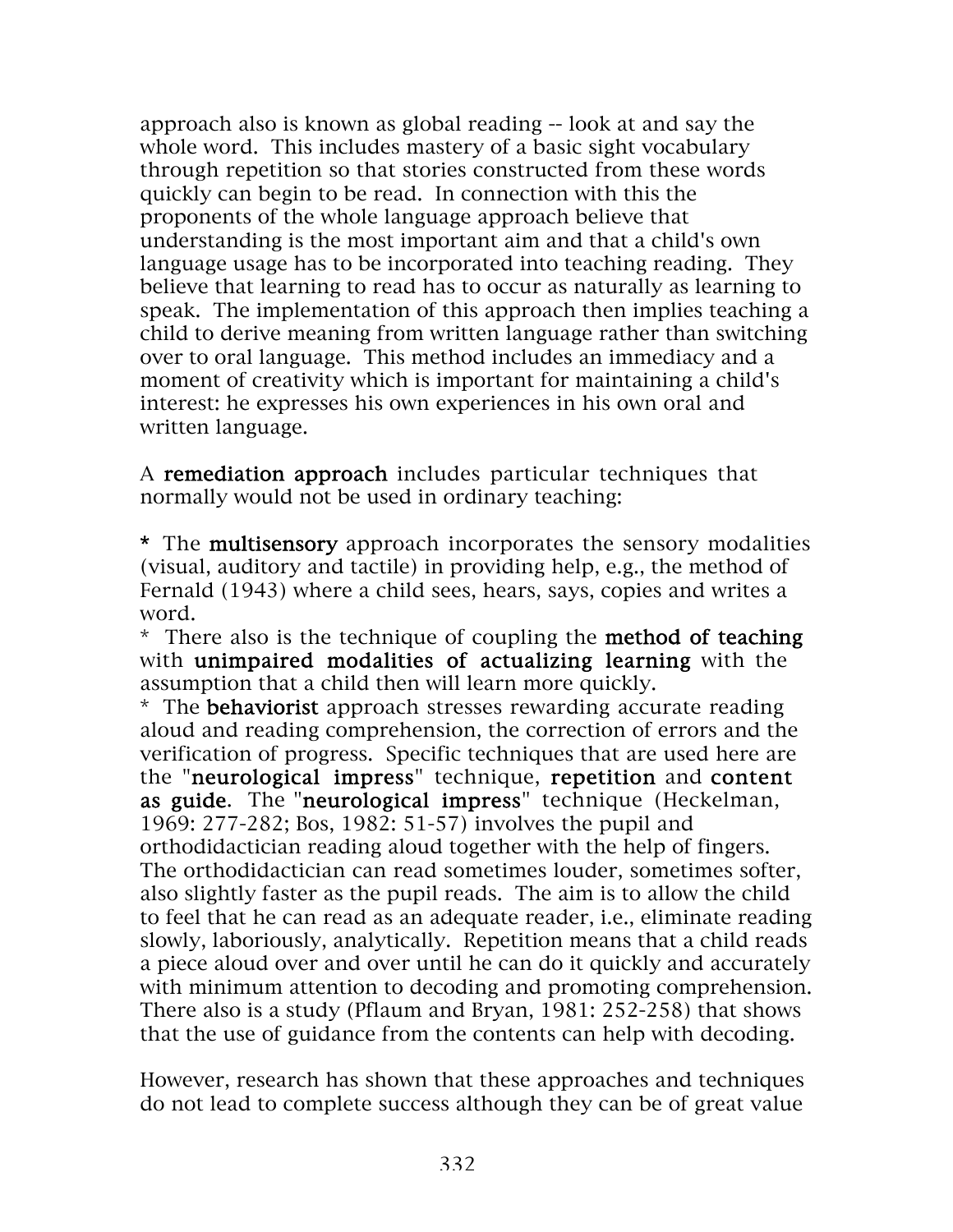approach also is known as global reading -- look at and say the whole word. This includes mastery of a basic sight vocabulary through repetition so that stories constructed from these words quickly can begin to be read. In connection with this the proponents of the whole language approach believe that understanding is the most important aim and that a child's own language usage has to be incorporated into teaching reading. They believe that learning to read has to occur as naturally as learning to speak. The implementation of this approach then implies teaching a child to derive meaning from written language rather than switching over to oral language. This method includes an immediacy and a moment of creativity which is important for maintaining a child's interest: he expresses his own experiences in his own oral and written language.

A remediation approach includes particular techniques that normally would not be used in ordinary teaching:

\* The multisensory approach incorporates the sensory modalities (visual, auditory and tactile) in providing help, e.g., the method of Fernald (1943) where a child sees, hears, says, copies and writes a word.

\* There also is the technique of coupling the method of teaching with unimpaired modalities of actualizing learning with the assumption that a child then will learn more quickly.

\* The behaviorist approach stresses rewarding accurate reading aloud and reading comprehension, the correction of errors and the verification of progress. Specific techniques that are used here are the "neurological impress" technique, repetition and content as guide. The "neurological impress" technique (Heckelman, 1969: 277-282; Bos, 1982: 51-57) involves the pupil and orthodidactician reading aloud together with the help of fingers. The orthodidactician can read sometimes louder, sometimes softer, also slightly faster as the pupil reads. The aim is to allow the child to feel that he can read as an adequate reader, i.e., eliminate reading slowly, laboriously, analytically. Repetition means that a child reads a piece aloud over and over until he can do it quickly and accurately with minimum attention to decoding and promoting comprehension. There also is a study (Pflaum and Bryan, 1981: 252-258) that shows that the use of guidance from the contents can help with decoding.

However, research has shown that these approaches and techniques do not lead to complete success although they can be of great value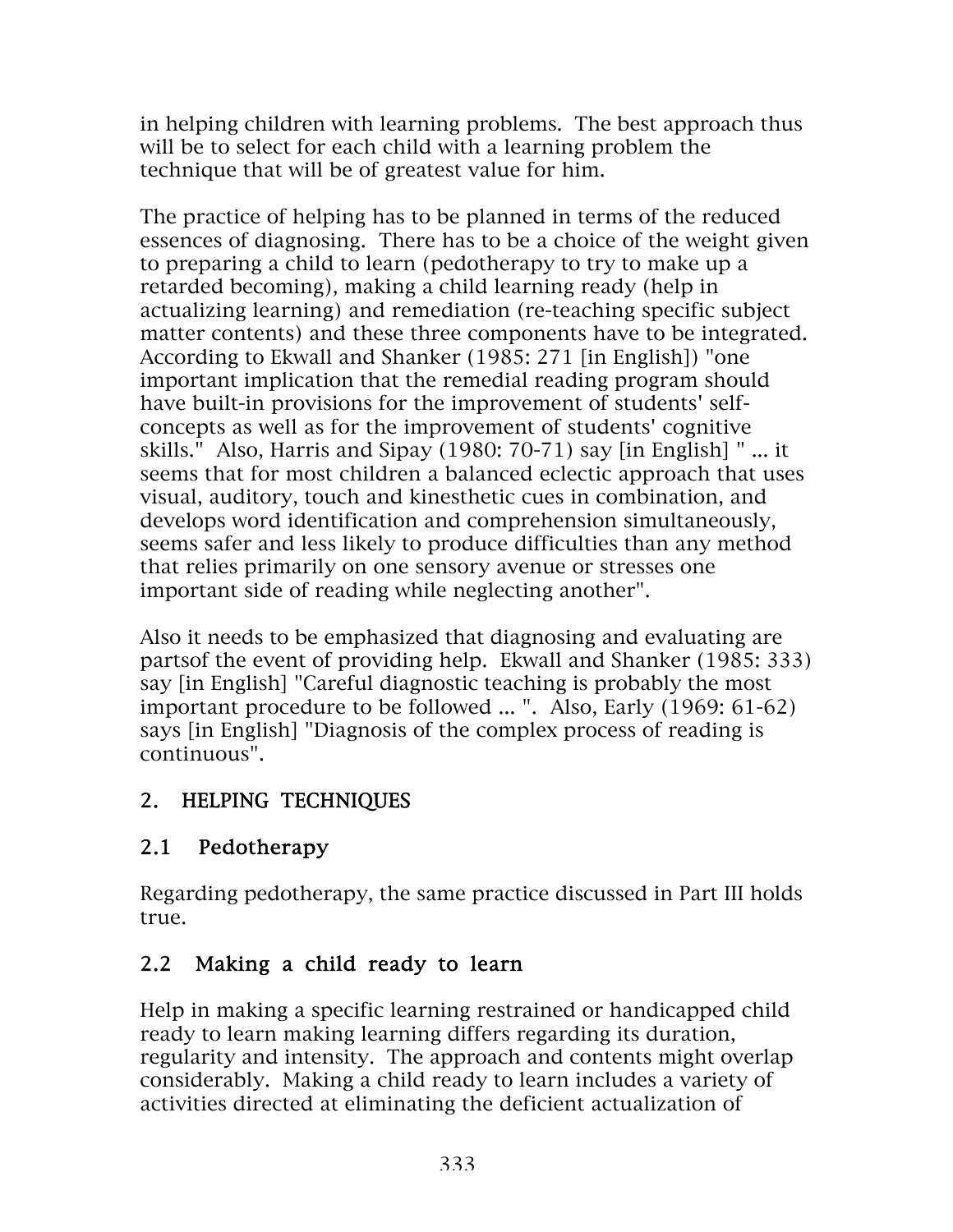in helping children with learning problems. The best approach thus will be to select for each child with a learning problem the technique that will be of greatest value for him.

The practice of helping has to be planned in terms of the reduced essences of diagnosing. There has to be a choice of the weight given to preparing a child to learn (pedotherapy to try to make up a retarded becoming), making a child learning ready (help in actualizing learning) and remediation (re-teaching specific subject matter contents) and these three components have to be integrated. According to Ekwall and Shanker (1985: 271 [in English]) "one important implication that the remedial reading program should have built-in provisions for the improvement of students' selfconcepts as well as for the improvement of students' cognitive skills." Also, Harris and Sipay (1980: 70-71) say [in English] " ... it seems that for most children a balanced eclectic approach that uses visual, auditory, touch and kinesthetic cues in combination, and develops word identification and comprehension simultaneously, seems safer and less likely to produce difficulties than any method that relies primarily on one sensory avenue or stresses one important side of reading while neglecting another".

Also it needs to be emphasized that diagnosing and evaluating are partsof the event of providing help. Ekwall and Shanker (1985: 333) say [in English] "Careful diagnostic teaching is probably the most important procedure to be followed ... ". Also, Early (1969: 61-62) says [in English] "Diagnosis of the complex process of reading is continuous".

## 2. HELPING TECHNIQUES

## 2.1 Pedotherapy

Regarding pedotherapy, the same practice discussed in Part III holds true.

## 2.2 Making a child ready to learn

Help in making a specific learning restrained or handicapped child ready to learn making learning differs regarding its duration, regularity and intensity. The approach and contents might overlap considerably. Making a child ready to learn includes a variety of activities directed at eliminating the deficient actualization of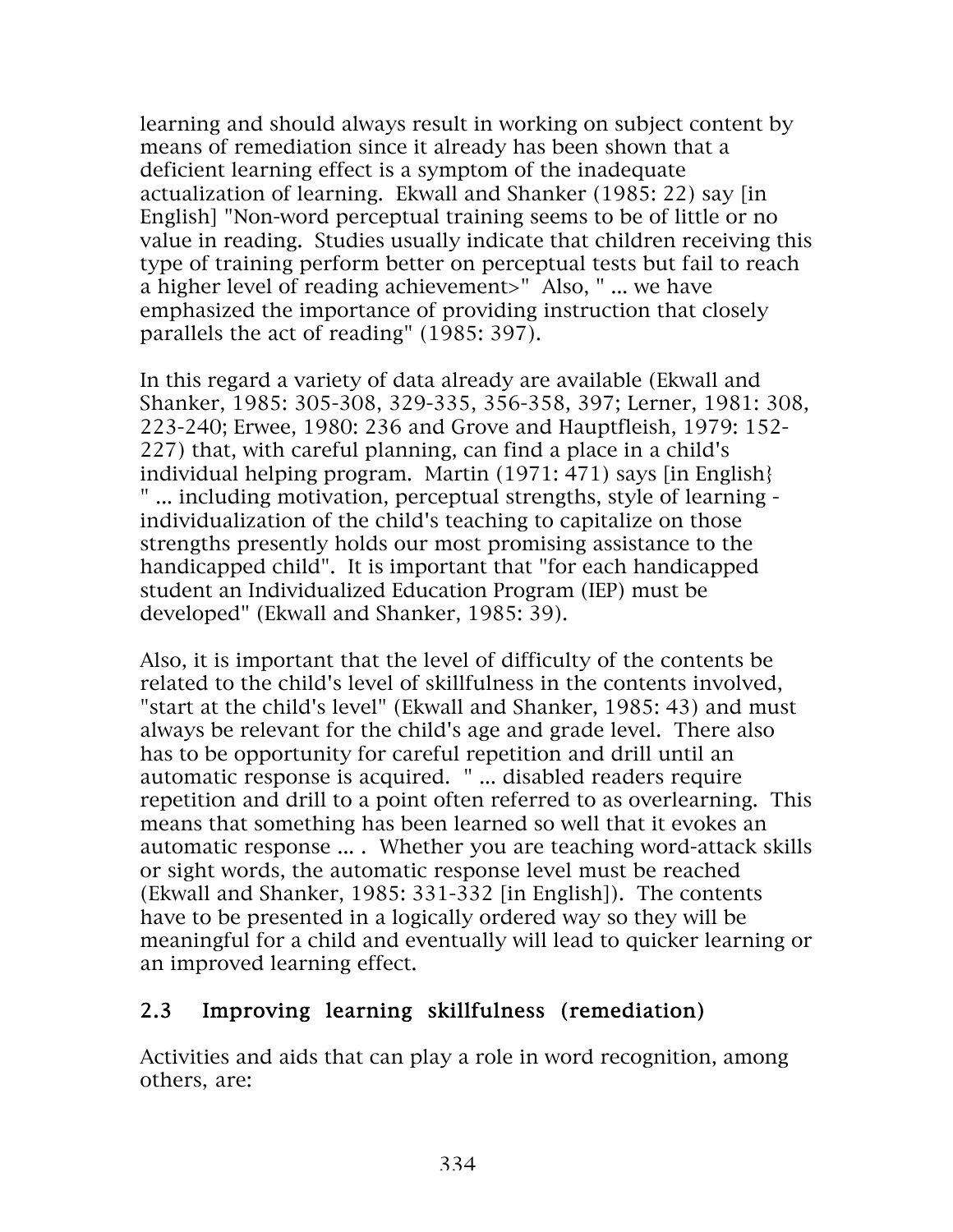learning and should always result in working on subject content by means of remediation since it already has been shown that a deficient learning effect is a symptom of the inadequate actualization of learning. Ekwall and Shanker (1985: 22) say [in English] "Non-word perceptual training seems to be of little or no value in reading. Studies usually indicate that children receiving this type of training perform better on perceptual tests but fail to reach a higher level of reading achievement>" Also, " ... we have emphasized the importance of providing instruction that closely parallels the act of reading" (1985: 397).

In this regard a variety of data already are available (Ekwall and Shanker, 1985: 305-308, 329-335, 356-358, 397; Lerner, 1981: 308, 223-240; Erwee, 1980: 236 and Grove and Hauptfleish, 1979: 152- 227) that, with careful planning, can find a place in a child's individual helping program. Martin (1971: 471) says [in English} " ... including motivation, perceptual strengths, style of learning individualization of the child's teaching to capitalize on those strengths presently holds our most promising assistance to the handicapped child". It is important that "for each handicapped student an Individualized Education Program (IEP) must be developed" (Ekwall and Shanker, 1985: 39).

Also, it is important that the level of difficulty of the contents be related to the child's level of skillfulness in the contents involved, "start at the child's level" (Ekwall and Shanker, 1985: 43) and must always be relevant for the child's age and grade level. There also has to be opportunity for careful repetition and drill until an automatic response is acquired. " ... disabled readers require repetition and drill to a point often referred to as overlearning. This means that something has been learned so well that it evokes an automatic response ... . Whether you are teaching word-attack skills or sight words, the automatic response level must be reached (Ekwall and Shanker, 1985: 331-332 [in English]). The contents have to be presented in a logically ordered way so they will be meaningful for a child and eventually will lead to quicker learning or an improved learning effect.

#### 2.3 Improving learning skillfulness (remediation)

Activities and aids that can play a role in word recognition, among others, are: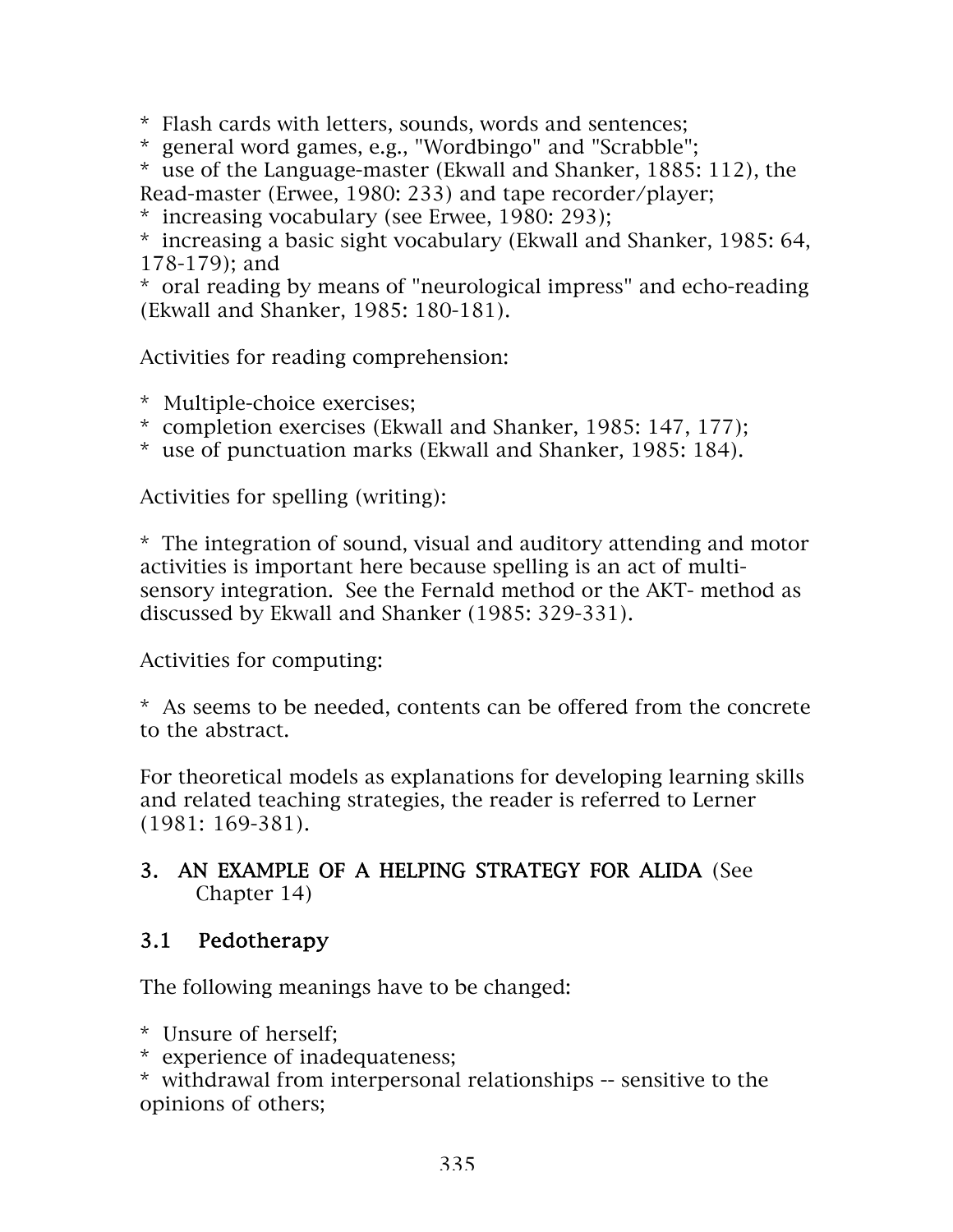\* Flash cards with letters, sounds, words and sentences;

\* general word games, e.g., "Wordbingo" and "Scrabble";

\* use of the Language-master (Ekwall and Shanker, 1885: 112), the Read-master (Erwee, 1980: 233) and tape recorder/player;

\* increasing vocabulary (see Erwee, 1980: 293);

\* increasing a basic sight vocabulary (Ekwall and Shanker, 1985: 64, 178-179); and

\* oral reading by means of "neurological impress" and echo-reading (Ekwall and Shanker, 1985: 180-181).

Activities for reading comprehension:

\* Multiple-choice exercises;

\* completion exercises (Ekwall and Shanker, 1985: 147, 177);

\* use of punctuation marks (Ekwall and Shanker, 1985: 184).

Activities for spelling (writing):

\* The integration of sound, visual and auditory attending and motor activities is important here because spelling is an act of multisensory integration. See the Fernald method or the AKT- method as discussed by Ekwall and Shanker (1985: 329-331).

Activities for computing:

\* As seems to be needed, contents can be offered from the concrete to the abstract.

For theoretical models as explanations for developing learning skills and related teaching strategies, the reader is referred to Lerner (1981: 169-381).

#### 3. AN EXAMPLE OF A HELPING STRATEGY FOR ALIDA (See Chapter 14)

#### 3.1 Pedotherapy

The following meanings have to be changed:

\* Unsure of herself;

\* experience of inadequateness;

\* withdrawal from interpersonal relationships -- sensitive to the opinions of others;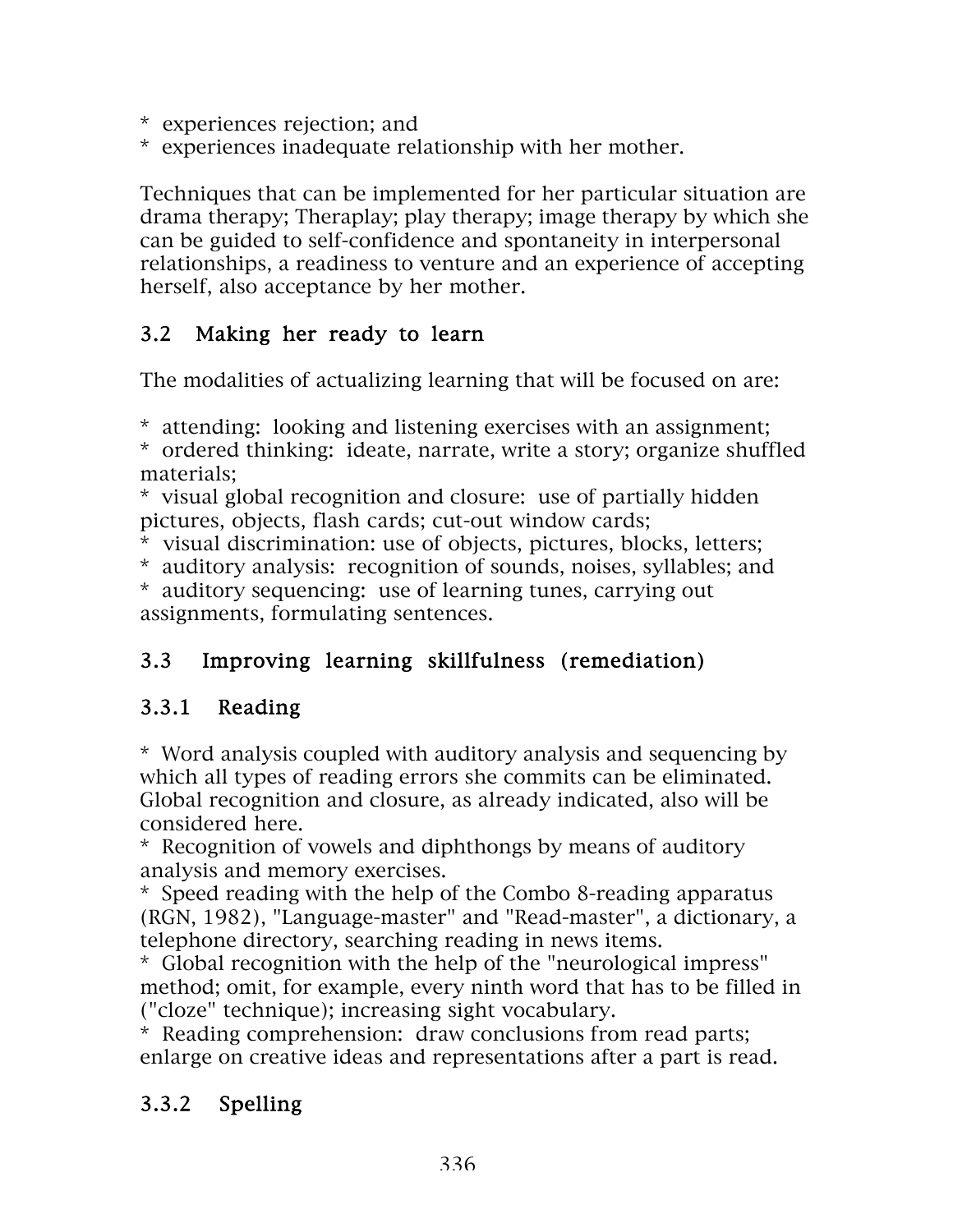\* experiences rejection; and

\* experiences inadequate relationship with her mother.

Techniques that can be implemented for her particular situation are drama therapy; Theraplay; play therapy; image therapy by which she can be guided to self-confidence and spontaneity in interpersonal relationships, a readiness to venture and an experience of accepting herself, also acceptance by her mother.

### 3.2 Making her ready to learn

The modalities of actualizing learning that will be focused on are:

\* attending: looking and listening exercises with an assignment;

\* ordered thinking: ideate, narrate, write a story; organize shuffled materials;

\* visual global recognition and closure: use of partially hidden pictures, objects, flash cards; cut-out window cards;

\* visual discrimination: use of objects, pictures, blocks, letters;

\* auditory analysis: recognition of sounds, noises, syllables; and \* auditory sequencing: use of learning tunes, carrying out

assignments, formulating sentences.

## 3.3 Improving learning skillfulness (remediation)

## 3.3.1 Reading

\* Word analysis coupled with auditory analysis and sequencing by which all types of reading errors she commits can be eliminated. Global recognition and closure, as already indicated, also will be considered here.

\* Recognition of vowels and diphthongs by means of auditory analysis and memory exercises.

\* Speed reading with the help of the Combo 8-reading apparatus (RGN, 1982), "Language-master" and "Read-master", a dictionary, a telephone directory, searching reading in news items.

\* Global recognition with the help of the "neurological impress" method; omit, for example, every ninth word that has to be filled in ("cloze" technique); increasing sight vocabulary.

\* Reading comprehension: draw conclusions from read parts; enlarge on creative ideas and representations after a part is read.

## 3.3.2 Spelling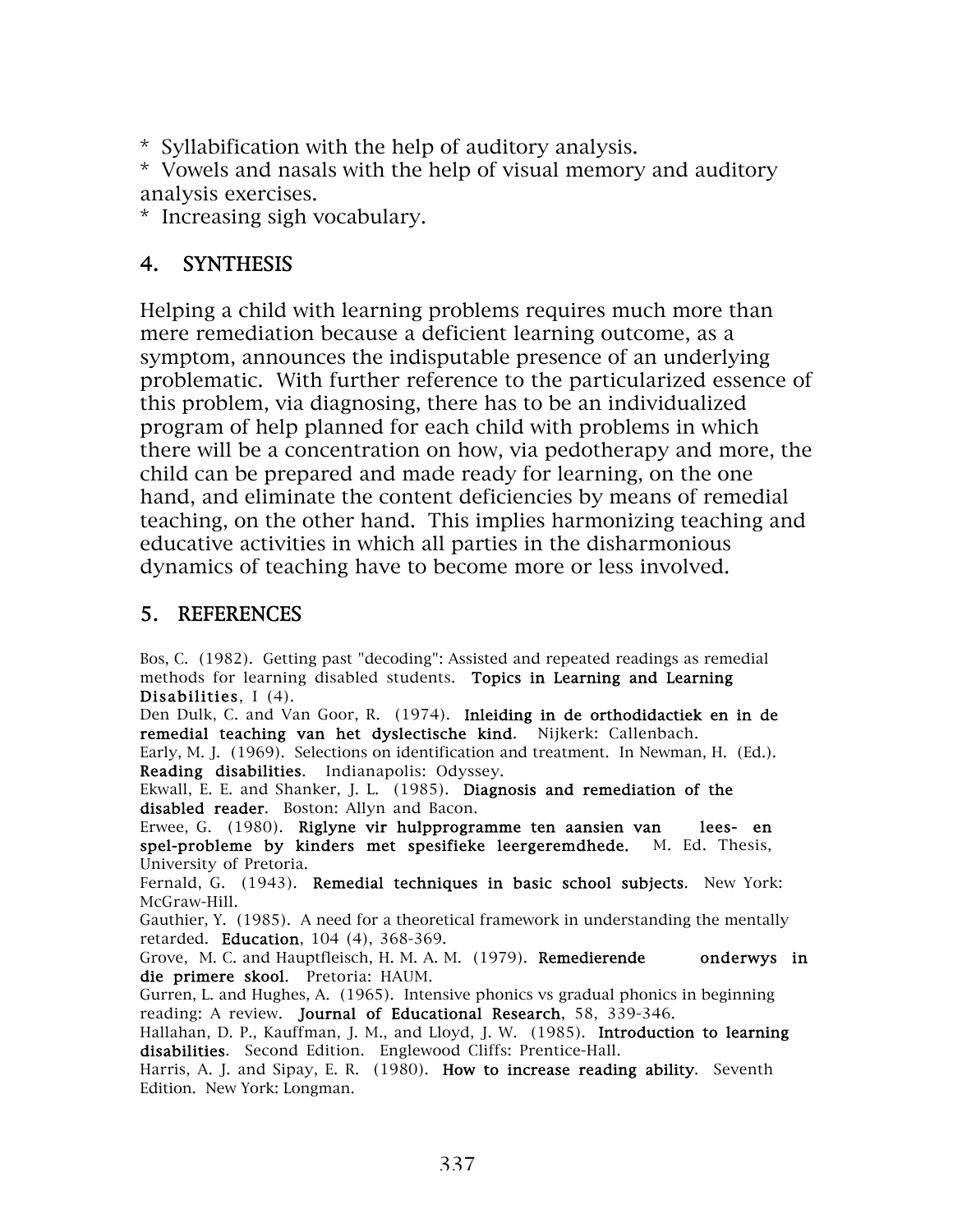\* Syllabification with the help of auditory analysis.

\* Vowels and nasals with the help of visual memory and auditory analysis exercises.

\* Increasing sigh vocabulary.

### 4. SYNTHESIS

Helping a child with learning problems requires much more than mere remediation because a deficient learning outcome, as a symptom, announces the indisputable presence of an underlying problematic. With further reference to the particularized essence of this problem, via diagnosing, there has to be an individualized program of help planned for each child with problems in which there will be a concentration on how, via pedotherapy and more, the child can be prepared and made ready for learning, on the one hand, and eliminate the content deficiencies by means of remedial teaching, on the other hand. This implies harmonizing teaching and educative activities in which all parties in the disharmonious dynamics of teaching have to become more or less involved.

#### 5. REFERENCES

Bos, C. (1982). Getting past "decoding": Assisted and repeated readings as remedial methods for learning disabled students. Topics in Learning and Learning Disabilities, I (4).

Den Dulk, C. and Van Goor, R. (1974). Inleiding in de orthodidactiek en in de remedial teaching van het dyslectische kind. Nijkerk: Callenbach.

Early, M. J. (1969). Selections on identification and treatment. In Newman, H. (Ed.). Reading disabilities. Indianapolis: Odyssey.

Ekwall, E. E. and Shanker, J. L. (1985). Diagnosis and remediation of the disabled reader. Boston: Allyn and Bacon.

Erwee, G. (1980). Riglyne vir hulpprogramme ten aansien van lees- en spel-probleme by kinders met spesifieke leergeremdhede. M. Ed. Thesis, University of Pretoria.

Fernald, G. (1943). Remedial techniques in basic school subjects. New York: McGraw-Hill.

Gauthier, Y. (1985). A need for a theoretical framework in understanding the mentally retarded. Education, 104 (4), 368-369.

Grove, M. C. and Hauptfleisch, H. M. A. M. (1979). Remedierende onderwys in die primere skool. Pretoria: HAUM.

Gurren, L. and Hughes, A. (1965). Intensive phonics vs gradual phonics in beginning reading: A review. Journal of Educational Research, 58, 339-346.

Hallahan, D. P., Kauffman, J. M., and Lloyd, J. W. (1985). Introduction to learning disabilities. Second Edition. Englewood Cliffs: Prentice-Hall.

Harris, A. J. and Sipay, E. R. (1980). How to increase reading ability. Seventh Edition. New York: Longman.